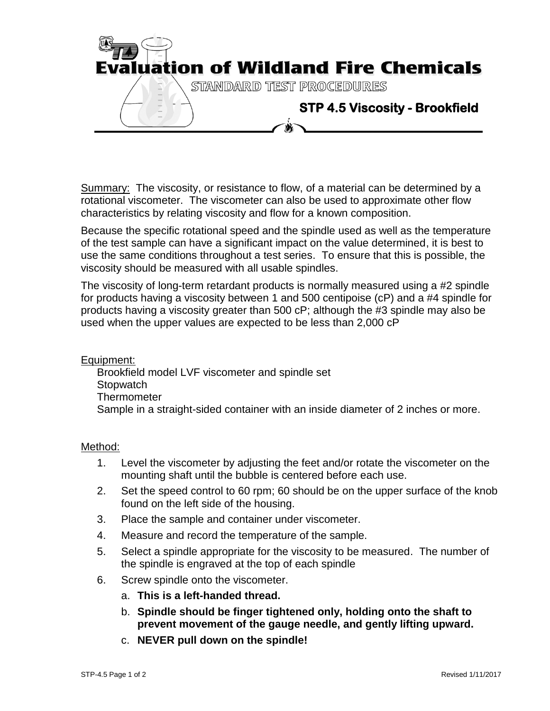

Summary: The viscosity, or resistance to flow, of a material can be determined by a rotational viscometer. The viscometer can also be used to approximate other flow characteristics by relating viscosity and flow for a known composition.

Because the specific rotational speed and the spindle used as well as the temperature of the test sample can have a significant impact on the value determined, it is best to use the same conditions throughout a test series. To ensure that this is possible, the viscosity should be measured with all usable spindles.

The viscosity of long-term retardant products is normally measured using a #2 spindle for products having a viscosity between 1 and 500 centipoise (cP) and a #4 spindle for products having a viscosity greater than 500 cP; although the #3 spindle may also be used when the upper values are expected to be less than 2,000 cP

Equipment:

Brookfield model LVF viscometer and spindle set **Stopwatch Thermometer** Sample in a straight-sided container with an inside diameter of 2 inches or more.

## Method:

- 1. Level the viscometer by adjusting the feet and/or rotate the viscometer on the mounting shaft until the bubble is centered before each use.
- 2. Set the speed control to 60 rpm; 60 should be on the upper surface of the knob found on the left side of the housing.
- 3. Place the sample and container under viscometer.
- 4. Measure and record the temperature of the sample.
- 5. Select a spindle appropriate for the viscosity to be measured. The number of the spindle is engraved at the top of each spindle
- 6. Screw spindle onto the viscometer.
	- a. **This is a left-handed thread.**
	- b. **Spindle should be finger tightened only, holding onto the shaft to prevent movement of the gauge needle, and gently lifting upward.**
	- c. **NEVER pull down on the spindle!**